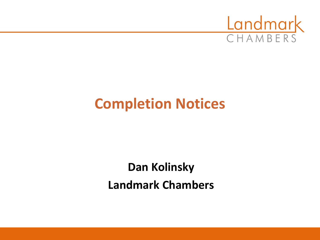

## **Completion Notices**

## **Dan Kolinsky Landmark Chambers**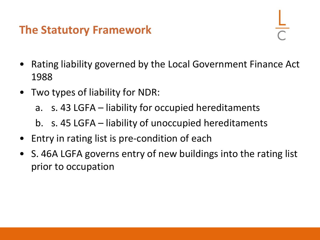## **The Statutory Framework**

- Rating liability governed by the Local Government Finance Act 1988
- Two types of liability for NDR:
	- a. s. 43 LGFA liability for occupied hereditaments
	- b. s. 45 LGFA liability of unoccupied hereditaments
- Entry in rating list is pre-condition of each
- S. 46A LGFA governs entry of new buildings into the rating list prior to occupation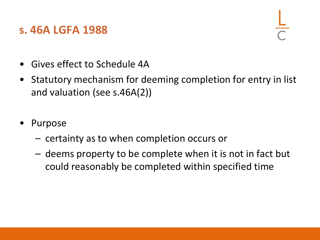#### **s. 46A LGFA 1988**

- Gives effect to Schedule 4A
- Statutory mechanism for deeming completion for entry in list and valuation (see s.46A(2))
- **Purpose** 
	- certainty as to when completion occurs or
	- deems property to be complete when it is not in fact but could reasonably be completed within specified time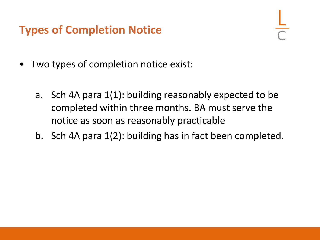## **Types of Completion Notice**

- Two types of completion notice exist:
	- a. Sch 4A para 1(1): building reasonably expected to be completed within three months. BA must serve the notice as soon as reasonably practicable
	- b. Sch 4A para 1(2): building has in fact been completed.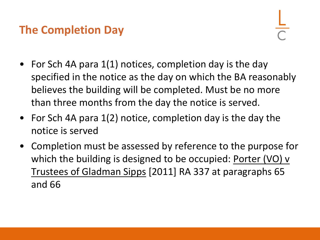## **The Completion Day**

- For Sch 4A para 1(1) notices, completion day is the day specified in the notice as the day on which the BA reasonably believes the building will be completed. Must be no more than three months from the day the notice is served.
- For Sch 4A para 1(2) notice, completion day is the day the notice is served
- Completion must be assessed by reference to the purpose for which the building is designed to be occupied: Porter (VO) v Trustees of Gladman Sipps [2011] RA 337 at paragraphs 65 and 66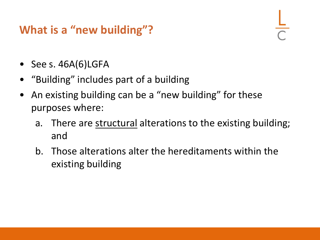## **What is a "new building"?**

- See s. 46A(6)LGFA
- "Building" includes part of a building
- An existing building can be a "new building" for these purposes where:
	- a. There are structural alterations to the existing building; and
	- b. Those alterations alter the hereditaments within the existing building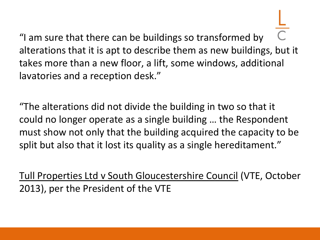"I am sure that there can be buildings so transformed by alterations that it is apt to describe them as new buildings, but it takes more than a new floor, a lift, some windows, additional lavatories and a reception desk."

"The alterations did not divide the building in two so that it could no longer operate as a single building … the Respondent must show not only that the building acquired the capacity to be split but also that it lost its quality as a single hereditament."

Tull Properties Ltd v South Gloucestershire Council (VTE, October 2013), per the President of the VTE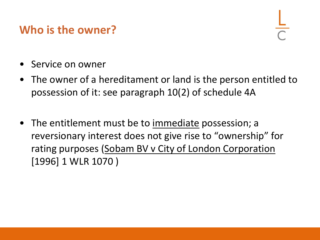## **Who is the owner?**

- Service on owner
- The owner of a hereditament or land is the person entitled to possession of it: see paragraph 10(2) of schedule 4A
- The entitlement must be to immediate possession; a reversionary interest does not give rise to "ownership" for rating purposes (Sobam BV v City of London Corporation [1996] 1 WLR 1070 )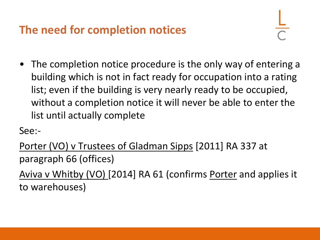## **The need for completion notices**

• The completion notice procedure is the only way of entering a building which is not in fact ready for occupation into a rating list; even if the building is very nearly ready to be occupied, without a completion notice it will never be able to enter the list until actually complete

See:-

Porter (VO) v Trustees of Gladman Sipps [2011] RA 337 at paragraph 66 (offices)

Aviva v Whitby (VO) [2014] RA 61 (confirms Porter and applies it to warehouses)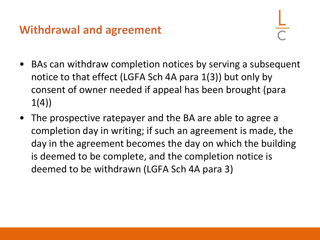## **Withdrawal and agreement**

- BAs can withdraw completion notices by serving a subsequent notice to that effect (LGFA Sch 4A para 1(3)) but only by consent of owner needed if appeal has been brought (para  $1(4)$
- The prospective ratepayer and the BA are able to agree a completion day in writing; if such an agreement is made, the day in the agreement becomes the day on which the building is deemed to be complete, and the completion notice is deemed to be withdrawn (LGFA Sch 4A para 3)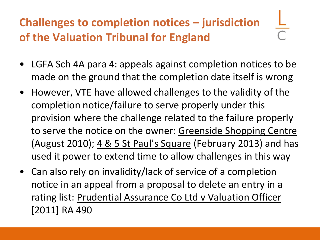## **Challenges to completion notices – jurisdiction of the Valuation Tribunal for England**

- LGFA Sch 4A para 4: appeals against completion notices to be made on the ground that the completion date itself is wrong
- However, VTE have allowed challenges to the validity of the completion notice/failure to serve properly under this provision where the challenge related to the failure properly to serve the notice on the owner: Greenside Shopping Centre (August 2010); 4 & 5 St Paul's Square (February 2013) and has used it power to extend time to allow challenges in this way
- Can also rely on invalidity/lack of service of a completion notice in an appeal from a proposal to delete an entry in a rating list: Prudential Assurance Co Ltd v Valuation Officer [2011] RA 490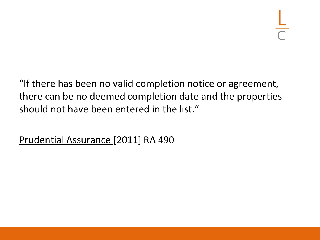"If there has been no valid completion notice or agreement, there can be no deemed completion date and the properties should not have been entered in the list."

Prudential Assurance [2011] RA 490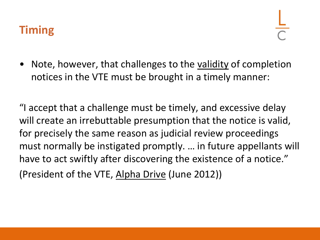• Note, however, that challenges to the validity of completion notices in the VTE must be brought in a timely manner:

"I accept that a challenge must be timely, and excessive delay will create an irrebuttable presumption that the notice is valid, for precisely the same reason as judicial review proceedings must normally be instigated promptly. … in future appellants will have to act swiftly after discovering the existence of a notice." (President of the VTE, Alpha Drive (June 2012))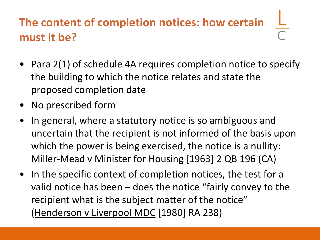## **The content of completion notices: how certain must it be?**

- Para 2(1) of schedule 4A requires completion notice to specify the building to which the notice relates and state the proposed completion date
- No prescribed form
- In general, where a statutory notice is so ambiguous and uncertain that the recipient is not informed of the basis upon which the power is being exercised, the notice is a nullity: Miller-Mead v Minister for Housing [1963] 2 QB 196 (CA)
- In the specific context of completion notices, the test for a valid notice has been – does the notice "fairly convey to the recipient what is the subject matter of the notice" (Henderson v Liverpool MDC [1980] RA 238)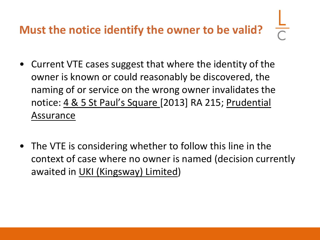## **Must the notice identify the owner to be valid?**

- Current VTE cases suggest that where the identity of the owner is known or could reasonably be discovered, the naming of or service on the wrong owner invalidates the notice: 4 & 5 St Paul's Square [2013] RA 215; Prudential Assurance
- The VTE is considering whether to follow this line in the context of case where no owner is named (decision currently awaited in UKI (Kingsway) Limited)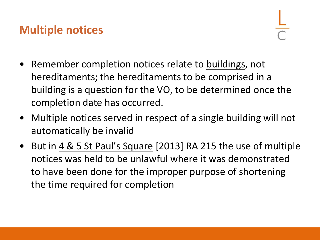## **Multiple notices**

- Remember completion notices relate to buildings, not hereditaments; the hereditaments to be comprised in a building is a question for the VO, to be determined once the completion date has occurred.
- Multiple notices served in respect of a single building will not automatically be invalid
- But in  $4 \& 5$  St Paul's Square [2013] RA 215 the use of multiple notices was held to be unlawful where it was demonstrated to have been done for the improper purpose of shortening the time required for completion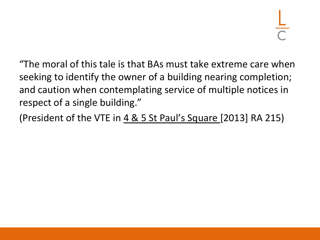"The moral of this tale is that BAs must take extreme care when seeking to identify the owner of a building nearing completion; and caution when contemplating service of multiple notices in respect of a single building."

(President of the VTE in 4 & 5 St Paul's Square [2013] RA 215)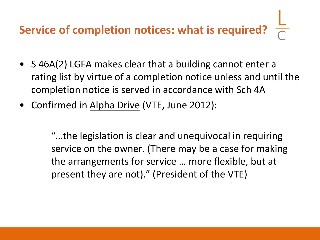# **Service of completion notices: what is required?**

- S 46A(2) LGFA makes clear that a building cannot enter a rating list by virtue of a completion notice unless and until the completion notice is served in accordance with Sch 4A
- Confirmed in Alpha Drive (VTE, June 2012):

"…the legislation is clear and unequivocal in requiring service on the owner. (There may be a case for making the arrangements for service … more flexible, but at present they are not)." (President of the VTE)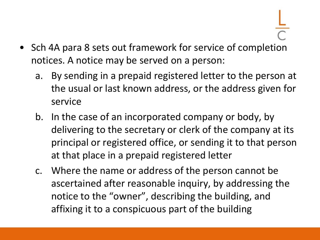- Sch 4A para 8 sets out framework for service of completion notices. A notice may be served on a person:
	- a. By sending in a prepaid registered letter to the person at the usual or last known address, or the address given for service
	- b. In the case of an incorporated company or body, by delivering to the secretary or clerk of the company at its principal or registered office, or sending it to that person at that place in a prepaid registered letter
	- c. Where the name or address of the person cannot be ascertained after reasonable inquiry, by addressing the notice to the "owner", describing the building, and affixing it to a conspicuous part of the building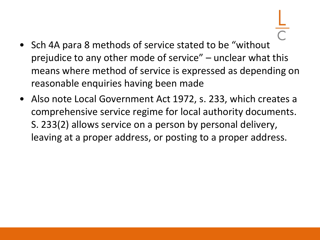- Sch 4A para 8 methods of service stated to be "without prejudice to any other mode of service" – unclear what this means where method of service is expressed as depending on reasonable enquiries having been made
- Also note Local Government Act 1972, s. 233, which creates a comprehensive service regime for local authority documents. S. 233(2) allows service on a person by personal delivery, leaving at a proper address, or posting to a proper address.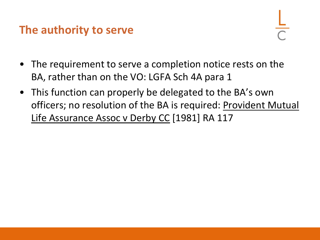#### **The authority to serve**

- The requirement to serve a completion notice rests on the BA, rather than on the VO: LGFA Sch 4A para 1
- This function can properly be delegated to the BA's own officers; no resolution of the BA is required: Provident Mutual Life Assurance Assoc v Derby CC [1981] RA 117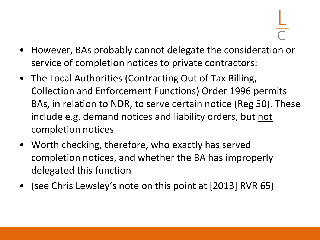- However, BAs probably cannot delegate the consideration or service of completion notices to private contractors:
- The Local Authorities (Contracting Out of Tax Billing, Collection and Enforcement Functions) Order 1996 permits BAs, in relation to NDR, to serve certain notice (Reg 50). These include e.g. demand notices and liability orders, but not completion notices
- Worth checking, therefore, who exactly has served completion notices, and whether the BA has improperly delegated this function
- (see Chris Lewsley's note on this point at [2013] RVR 65)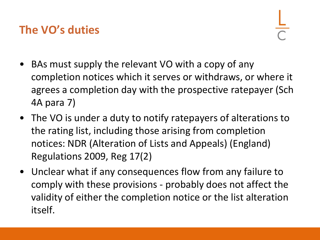## **The VO's duties**

- BAs must supply the relevant VO with a copy of any completion notices which it serves or withdraws, or where it agrees a completion day with the prospective ratepayer (Sch 4A para 7)
- The VO is under a duty to notify ratepayers of alterations to the rating list, including those arising from completion notices: NDR (Alteration of Lists and Appeals) (England) Regulations 2009, Reg 17(2)
- Unclear what if any consequences flow from any failure to comply with these provisions - probably does not affect the validity of either the completion notice or the list alteration itself.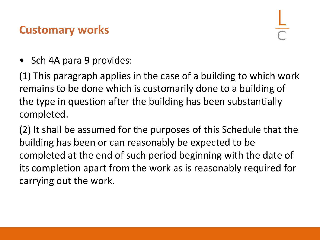## **Customary works**

• Sch 4A para 9 provides:

(1) This paragraph applies in the case of a building to which work remains to be done which is customarily done to a building of the type in question after the building has been substantially completed.

(2) It shall be assumed for the purposes of this Schedule that the building has been or can reasonably be expected to be completed at the end of such period beginning with the date of its completion apart from the work as is reasonably required for carrying out the work.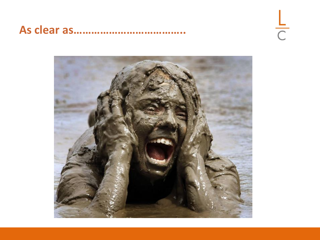#### **As clear as………………………………..**



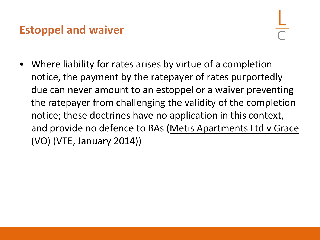## **Estoppel and waiver**

• Where liability for rates arises by virtue of a completion notice, the payment by the ratepayer of rates purportedly due can never amount to an estoppel or a waiver preventing the ratepayer from challenging the validity of the completion notice; these doctrines have no application in this context, and provide no defence to BAs (Metis Apartments Ltd v Grace (VO) (VTE, January 2014))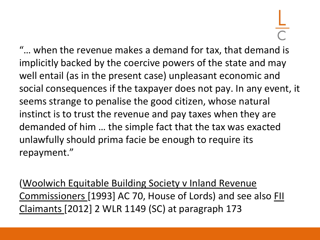"… when the revenue makes a demand for tax, that demand is implicitly backed by the coercive powers of the state and may well entail (as in the present case) unpleasant economic and social consequences if the taxpayer does not pay. In any event, it seems strange to penalise the good citizen, whose natural instinct is to trust the revenue and pay taxes when they are demanded of him … the simple fact that the tax was exacted unlawfully should prima facie be enough to require its repayment."

(Woolwich Equitable Building Society v Inland Revenue Commissioners [1993] AC 70, House of Lords) and see also FII Claimants [2012] 2 WLR 1149 (SC) at paragraph 173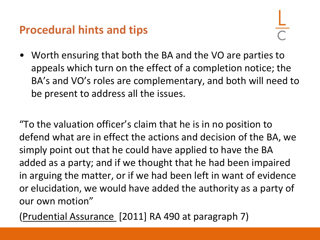## **Procedural hints and tips**

• Worth ensuring that both the BA and the VO are parties to appeals which turn on the effect of a completion notice; the BA's and VO's roles are complementary, and both will need to be present to address all the issues.

"To the valuation officer's claim that he is in no position to defend what are in effect the actions and decision of the BA, we simply point out that he could have applied to have the BA added as a party; and if we thought that he had been impaired in arguing the matter, or if we had been left in want of evidence or elucidation, we would have added the authority as a party of our own motion"

(Prudential Assurance [2011] RA 490 at paragraph 7)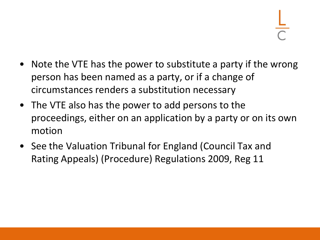- Note the VTE has the power to substitute a party if the wrong person has been named as a party, or if a change of circumstances renders a substitution necessary
- The VTE also has the power to add persons to the proceedings, either on an application by a party or on its own motion
- See the Valuation Tribunal for England (Council Tax and Rating Appeals) (Procedure) Regulations 2009, Reg 11